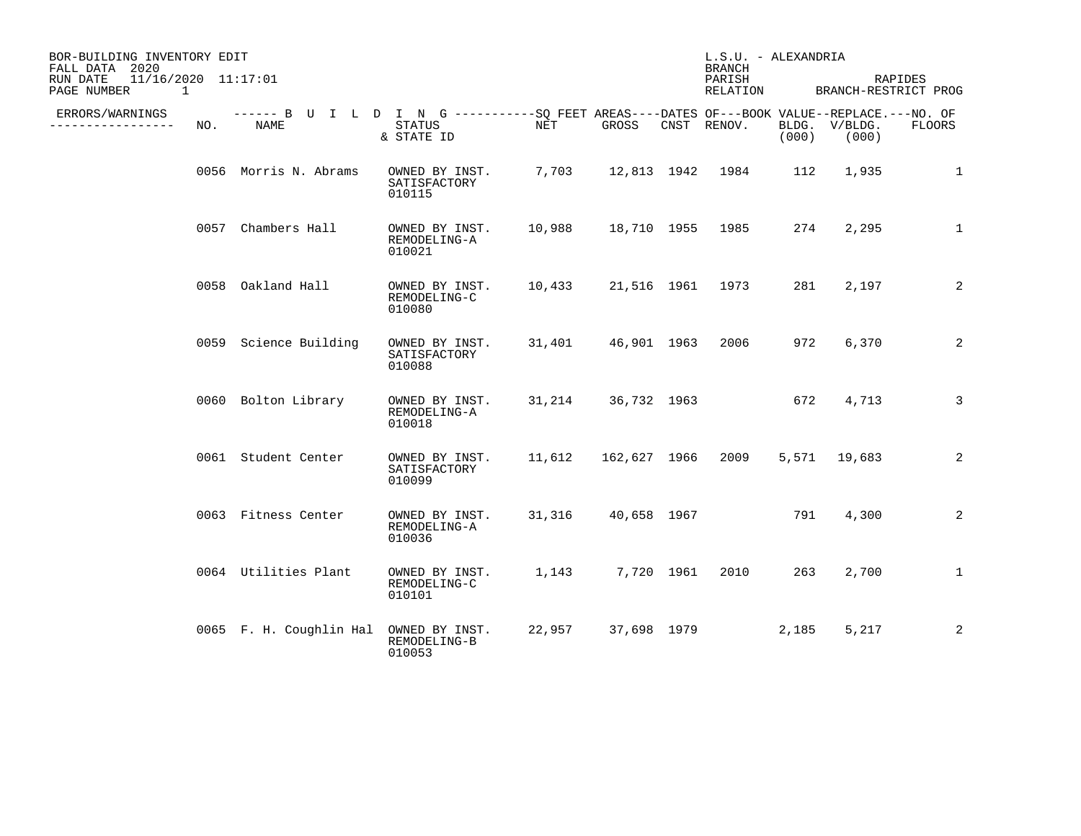| BOR-BUILDING INVENTORY EDIT<br>FALL DATA 2020<br>$11/16/2020$ $11:17:01$<br>RUN DATE<br>PAGE NUMBER<br>1 |      |                         |                                                                                                                    |        |              | L.S.U. - ALEXANDRIA<br><b>BRANCH</b><br>PARISH<br>RELATION |                | BRANCH-RESTRICT PROG | RAPIDES       |
|----------------------------------------------------------------------------------------------------------|------|-------------------------|--------------------------------------------------------------------------------------------------------------------|--------|--------------|------------------------------------------------------------|----------------|----------------------|---------------|
| ERRORS/WARNINGS<br>-------------                                                                         | NO.  | <b>NAME</b>             | ------ B U I L D I N G ----------SO FEET AREAS----DATES OF---BOOK VALUE--REPLACE.---NO. OF<br>STATUS<br>& STATE ID | NET    | GROSS        | CNST RENOV.                                                | BLDG.<br>(000) | V/BLDG.<br>(000)     | <b>FLOORS</b> |
|                                                                                                          |      | 0056 Morris N. Abrams   | OWNED BY INST.<br>SATISFACTORY<br>010115                                                                           | 7,703  |              | 12,813 1942 1984                                           | 112            | 1,935                | 1             |
|                                                                                                          | 0057 | Chambers Hall           | OWNED BY INST.<br>REMODELING-A<br>010021                                                                           | 10,988 | 18,710 1955  | 1985                                                       | 274            | 2,295                | $\mathbf{1}$  |
|                                                                                                          |      | 0058 Oakland Hall       | OWNED BY INST.<br>REMODELING-C<br>010080                                                                           | 10,433 | 21,516 1961  | 1973                                                       | 281            | 2,197                | 2             |
|                                                                                                          |      | 0059 Science Building   | OWNED BY INST.<br>SATISFACTORY<br>010088                                                                           | 31,401 | 46,901 1963  | 2006                                                       | 972            | 6,370                | 2             |
|                                                                                                          |      | 0060 Bolton Library     | OWNED BY INST.<br>REMODELING-A<br>010018                                                                           | 31,214 | 36,732 1963  |                                                            | 672            | 4,713                | 3             |
|                                                                                                          |      | 0061 Student Center     | OWNED BY INST.<br>SATISFACTORY<br>010099                                                                           | 11,612 | 162,627 1966 | 2009                                                       |                | 5,571 19,683         | 2             |
|                                                                                                          |      | 0063 Fitness Center     | OWNED BY INST.<br>REMODELING-A<br>010036                                                                           | 31,316 | 40,658 1967  |                                                            | 791            | 4,300                | 2             |
|                                                                                                          |      | 0064 Utilities Plant    | OWNED BY INST.<br>REMODELING-C<br>010101                                                                           | 1,143  | 7,720 1961   | 2010                                                       | 263            | 2,700                | $\mathbf{1}$  |
|                                                                                                          |      | 0065 F. H. Coughlin Hal | OWNED BY INST.<br>REMODELING-B<br>010053                                                                           | 22,957 | 37,698 1979  |                                                            | 2,185          | 5,217                | 2             |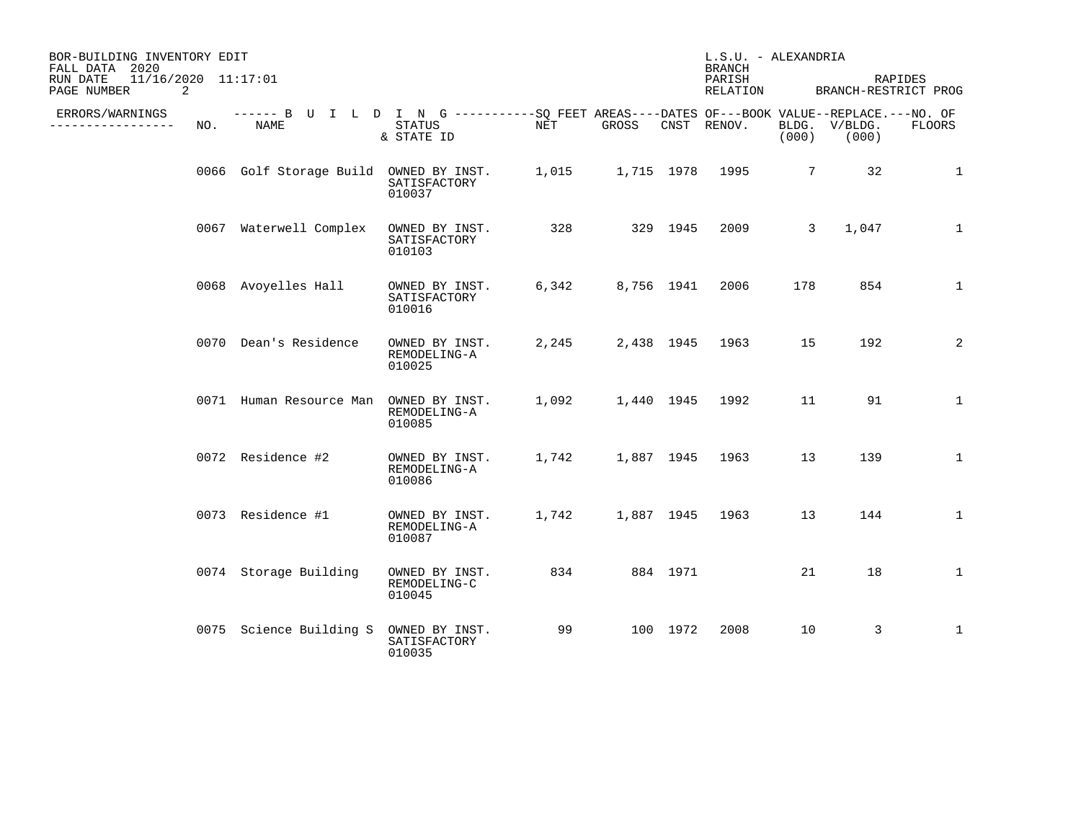| BOR-BUILDING INVENTORY EDIT<br>FALL DATA 2020<br>11/16/2020 11:17:01<br>RUN DATE<br>PAGE NUMBER<br>2 |     |                                        |                                                                                                                    |       |            |          | L.S.U. - ALEXANDRIA<br><b>BRANCH</b><br>PARISH<br>RELATION |                 | RAPIDES<br>BRANCH-RESTRICT PROG |               |
|------------------------------------------------------------------------------------------------------|-----|----------------------------------------|--------------------------------------------------------------------------------------------------------------------|-------|------------|----------|------------------------------------------------------------|-----------------|---------------------------------|---------------|
| ERRORS/WARNINGS<br>. <u>.</u> .                                                                      | NO. | NAME                                   | ------ B U I L D I N G ----------SQ FEET AREAS----DATES OF---BOOK VALUE--REPLACE.---NO. OF<br>STATUS<br>& STATE ID | NET   | GROSS      |          | CNST RENOV.                                                | (000)           | BLDG. V/BLDG.<br>(000)          | <b>FLOORS</b> |
|                                                                                                      |     | 0066 Golf Storage Build OWNED BY INST. | SATISFACTORY<br>010037                                                                                             | 1,015 |            |          | 1,715 1978 1995                                            | $7\overline{ }$ | 32                              | 1             |
|                                                                                                      |     | 0067 Waterwell Complex                 | OWNED BY INST.<br>SATISFACTORY<br>010103                                                                           | 328   |            | 329 1945 | 2009                                                       | 3               | 1,047                           | $\mathbf 1$   |
|                                                                                                      |     | 0068 Avoyelles Hall                    | OWNED BY INST.<br>SATISFACTORY<br>010016                                                                           | 6,342 | 8,756 1941 |          | 2006                                                       | 178             | 854                             | $\mathbf{1}$  |
|                                                                                                      |     | 0070 Dean's Residence                  | OWNED BY INST.<br>REMODELING-A<br>010025                                                                           | 2,245 | 2,438 1945 |          | 1963                                                       | 15              | 192                             | 2             |
|                                                                                                      |     | 0071 Human Resource Man                | OWNED BY INST.<br>REMODELING-A<br>010085                                                                           | 1,092 |            |          | 1,440 1945 1992                                            | 11              | 91                              | $\mathbf{1}$  |
|                                                                                                      |     | 0072 Residence #2                      | OWNED BY INST.<br>REMODELING-A<br>010086                                                                           | 1,742 | 1,887 1945 |          | 1963                                                       | 13              | 139                             | $\mathbf{1}$  |
|                                                                                                      |     | 0073 Residence #1                      | OWNED BY INST.<br>REMODELING-A<br>010087                                                                           | 1,742 |            |          | 1,887 1945 1963                                            | 13              | 144                             | $\mathbf{1}$  |
|                                                                                                      |     | 0074 Storage Building                  | OWNED BY INST.<br>REMODELING-C<br>010045                                                                           | 834   |            | 884 1971 |                                                            | 21              | 18                              | $\mathbf{1}$  |
|                                                                                                      |     | 0075 Science Building S                | OWNED BY INST.<br>SATISFACTORY<br>010035                                                                           | 99    |            | 100 1972 | 2008                                                       | 10              | $\mathbf{3}$                    | $\mathbf{1}$  |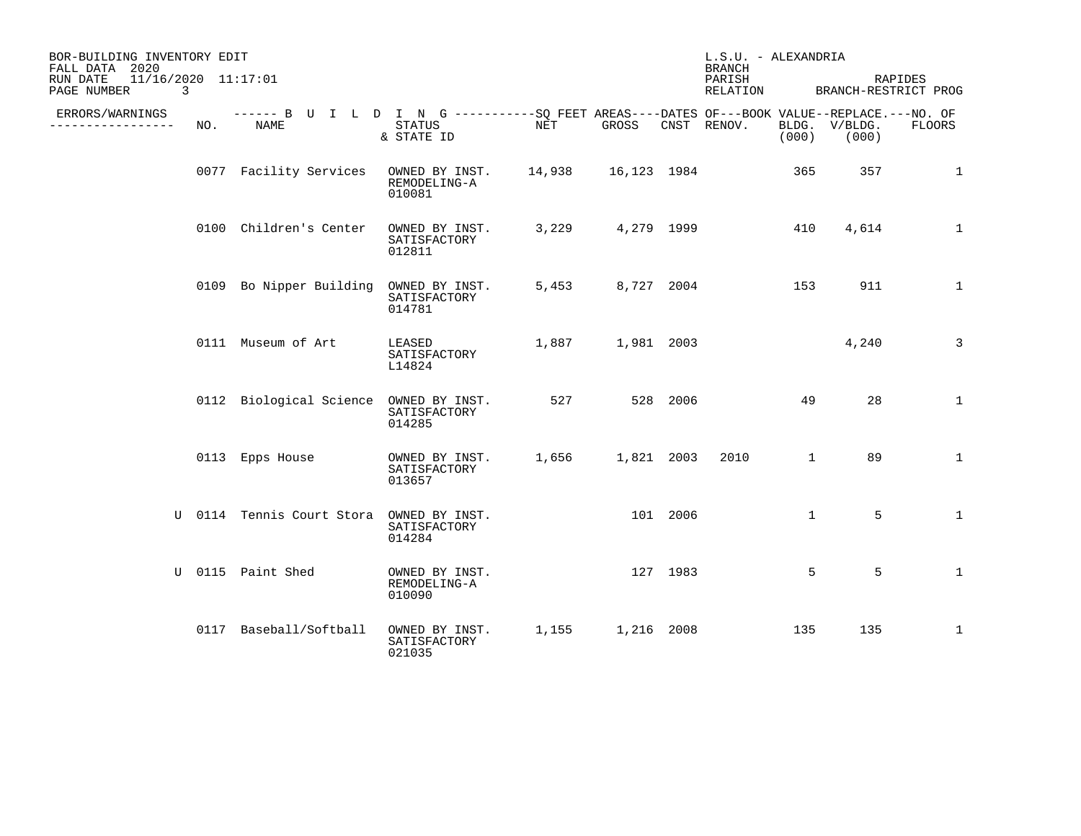| BOR-BUILDING INVENTORY EDIT<br>FALL DATA 2020<br>11/16/2020 11:17:01<br>RUN DATE<br>3<br>PAGE NUMBER |     |                                                                                                           |                                                             |         |            |          | L.S.U. - ALEXANDRIA<br><b>BRANCH</b><br>PARISH<br>RELATION |              | BRANCH-RESTRICT PROG   | RAPIDES        |
|------------------------------------------------------------------------------------------------------|-----|-----------------------------------------------------------------------------------------------------------|-------------------------------------------------------------|---------|------------|----------|------------------------------------------------------------|--------------|------------------------|----------------|
| ERRORS/WARNINGS<br>--------------                                                                    | NO. | ------ B U I L D I N G ----------SQ FEET AREAS----DATES OF---BOOK VALUE--REPLACE.---NO. OF<br><b>NAME</b> | <b>STATUS</b><br>& STATE ID                                 | NET     | GROSS      |          | CNST RENOV.                                                | (000)        | BLDG. V/BLDG.<br>(000) | <b>FLOORS</b>  |
|                                                                                                      |     | 0077 Facility Services                                                                                    | OWNED BY INST. 14,938 16,123 1984<br>REMODELING-A<br>010081 |         |            |          |                                                            | 365          | 357                    | 1              |
|                                                                                                      |     | 0100 Children's Center                                                                                    | OWNED BY INST.<br>SATISFACTORY<br>012811                    | 3,229   | 4,279 1999 |          |                                                            | 410          | 4,614                  | $\mathbf{1}$   |
|                                                                                                      |     | 0109 Bo Nipper Building                                                                                   | OWNED BY INST.<br>SATISFACTORY<br>014781                    | 5,453   | 8,727 2004 |          |                                                            | 153          | 911                    | $\mathbf{1}$   |
|                                                                                                      |     | 0111 Museum of Art                                                                                        | LEASED<br>SATISFACTORY<br>L14824                            | 1,887   | 1,981 2003 |          |                                                            |              | 4,240                  | $\overline{3}$ |
|                                                                                                      |     | 0112 Biological Science OWNED BY INST.                                                                    | SATISFACTORY<br>014285                                      | 527 527 |            | 528 2006 |                                                            | 49           | 28                     | $\mathbf{1}$   |
|                                                                                                      |     | 0113 Epps House                                                                                           | OWNED BY INST.<br>SATISFACTORY<br>013657                    | 1,656   | 1,821 2003 |          | 2010                                                       | $\mathbf{1}$ | 89                     | $\mathbf{1}$   |
|                                                                                                      |     | U 0114 Tennis Court Stora                                                                                 | OWNED BY INST.<br>SATISFACTORY<br>014284                    |         |            | 101 2006 |                                                            | $\mathbf{1}$ | 5                      | $\mathbf{1}$   |
|                                                                                                      |     | U 0115 Paint Shed                                                                                         | OWNED BY INST.<br>REMODELING-A<br>010090                    |         | 127 1983   |          |                                                            | 5            | 5                      | $\mathbf{1}$   |
|                                                                                                      |     | 0117 Baseball/Softball                                                                                    | OWNED BY INST.<br>SATISFACTORY<br>021035                    | 1,155   | 1,216 2008 |          |                                                            | 135          | 135                    | $\mathbf{1}$   |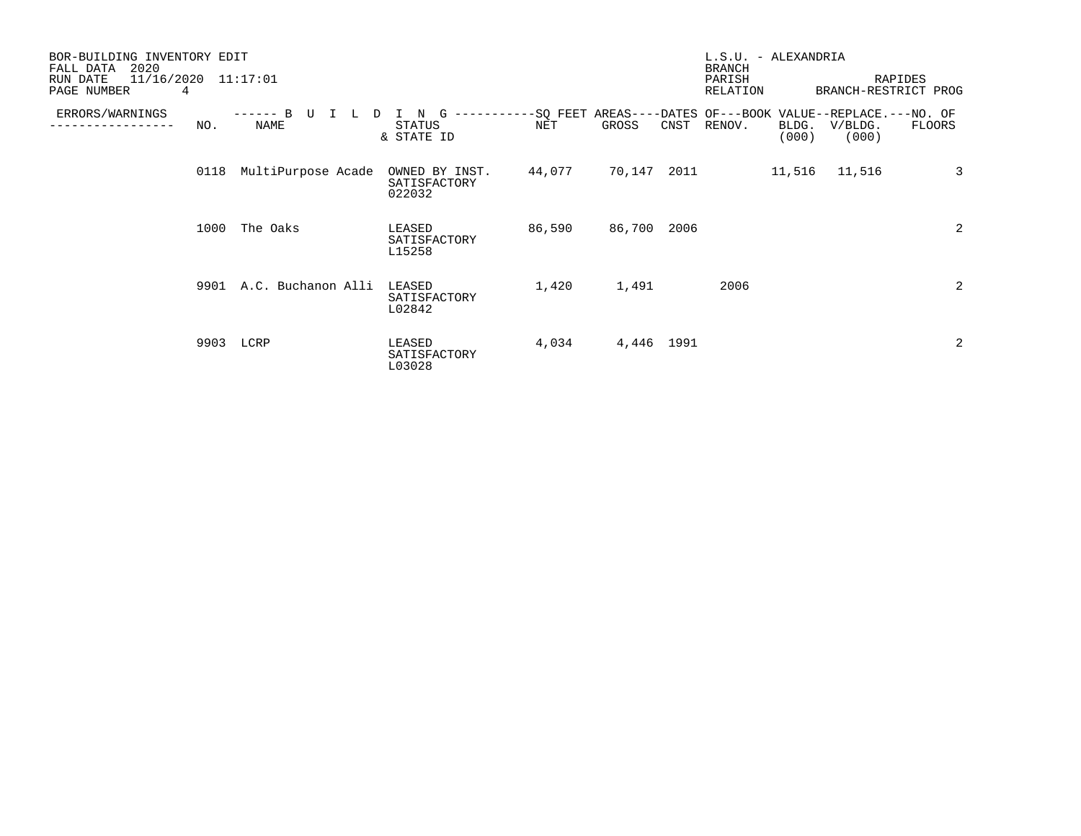| BOR-BUILDING INVENTORY EDIT<br>2020<br>FALL DATA<br>11/16/2020<br>RUN DATE<br>4<br>PAGE NUMBER |           | 11:17:01                                 |                                          |        |             |      | L.S.U. - ALEXANDRIA<br><b>BRANCH</b><br>PARISH<br>RELATION                     |                |                  | RAPIDES<br>BRANCH-RESTRICT PROG |
|------------------------------------------------------------------------------------------------|-----------|------------------------------------------|------------------------------------------|--------|-------------|------|--------------------------------------------------------------------------------|----------------|------------------|---------------------------------|
| ERRORS/WARNINGS                                                                                | NO.       | <sub>R</sub><br>D<br>------<br>L<br>NAME | N<br>G<br><b>STATUS</b><br>& STATE ID    | NET    | GROSS       | CNST | -----------SQ FEET AREAS----DATES OF---BOOK VALUE--REPLACE.---NO. OF<br>RENOV. | BLDG.<br>(000) | V/BLDG.<br>(000) | FLOORS                          |
|                                                                                                | 0118      | MultiPurpose Acade                       | OWNED BY INST.<br>SATISFACTORY<br>022032 | 44,077 | 70,147      | 2011 |                                                                                | 11,516         | 11,516           | $\overline{3}$                  |
|                                                                                                | 1000      | The Oaks                                 | LEASED<br>SATISFACTORY<br>L15258         | 86,590 | 86,700 2006 |      |                                                                                |                |                  | 2                               |
|                                                                                                | 9901      | A.C. Buchanon Alli                       | LEASED<br>SATISFACTORY<br>L02842         | 1,420  | 1,491       |      | 2006                                                                           |                |                  | 2                               |
|                                                                                                | 9903 LCRP |                                          | LEASED<br>SATISFACTORY<br>L03028         | 4,034  | 4,446 1991  |      |                                                                                |                |                  | 2                               |